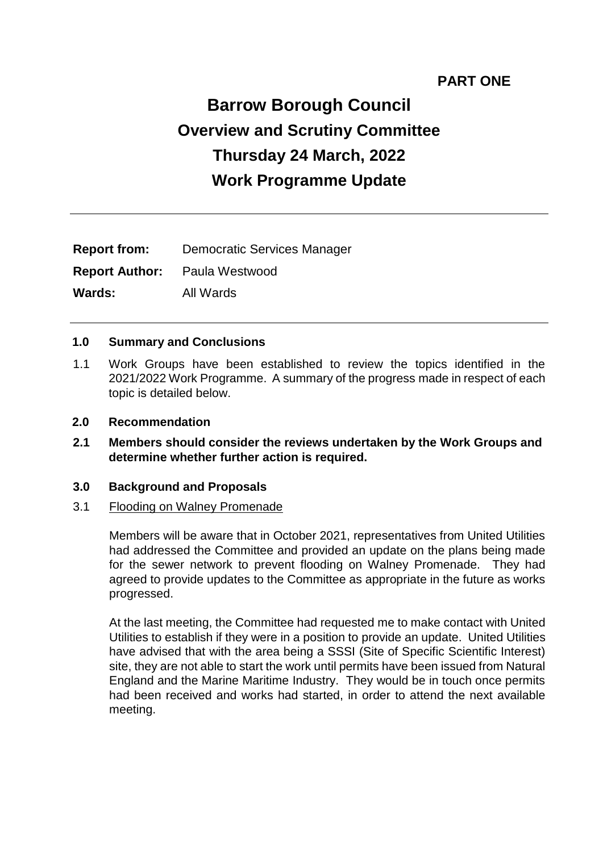# **PART ONE**

# **Barrow Borough Council Overview and Scrutiny Committee Thursday 24 March, 2022 Work Programme Update**

| <b>Report from:</b> | Democratic Services Manager          |
|---------------------|--------------------------------------|
|                     | <b>Report Author:</b> Paula Westwood |
| <b>Wards:</b>       | All Wards                            |

#### **1.0 Summary and Conclusions**

- 1.1 Work Groups have been established to review the topics identified in the 2021/2022 Work Programme. A summary of the progress made in respect of each topic is detailed below.
- **2.0 Recommendation**
- **2.1 Members should consider the reviews undertaken by the Work Groups and determine whether further action is required.**

#### **3.0 Background and Proposals**

#### 3.1 Flooding on Walney Promenade

Members will be aware that in October 2021, representatives from United Utilities had addressed the Committee and provided an update on the plans being made for the sewer network to prevent flooding on Walney Promenade. They had agreed to provide updates to the Committee as appropriate in the future as works progressed.

At the last meeting, the Committee had requested me to make contact with United Utilities to establish if they were in a position to provide an update. United Utilities have advised that with the area being a SSSI (Site of Specific Scientific Interest) site, they are not able to start the work until permits have been issued from Natural England and the Marine Maritime Industry. They would be in touch once permits had been received and works had started, in order to attend the next available meeting.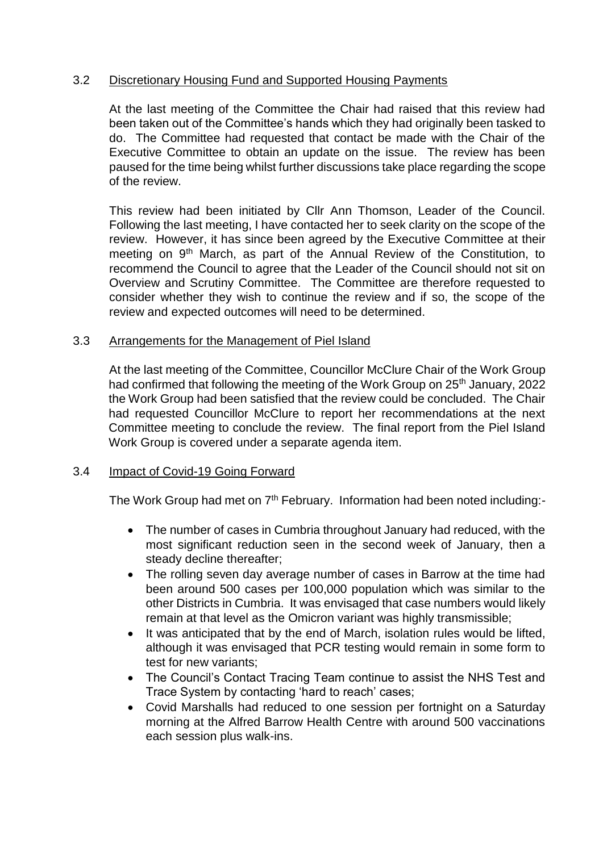# 3.2 Discretionary Housing Fund and Supported Housing Payments

At the last meeting of the Committee the Chair had raised that this review had been taken out of the Committee's hands which they had originally been tasked to do. The Committee had requested that contact be made with the Chair of the Executive Committee to obtain an update on the issue. The review has been paused for the time being whilst further discussions take place regarding the scope of the review.

This review had been initiated by Cllr Ann Thomson, Leader of the Council. Following the last meeting, I have contacted her to seek clarity on the scope of the review. However, it has since been agreed by the Executive Committee at their meeting on 9<sup>th</sup> March, as part of the Annual Review of the Constitution, to recommend the Council to agree that the Leader of the Council should not sit on Overview and Scrutiny Committee. The Committee are therefore requested to consider whether they wish to continue the review and if so, the scope of the review and expected outcomes will need to be determined.

#### 3.3 Arrangements for the Management of Piel Island

At the last meeting of the Committee, Councillor McClure Chair of the Work Group had confirmed that following the meeting of the Work Group on 25<sup>th</sup> January, 2022 the Work Group had been satisfied that the review could be concluded. The Chair had requested Councillor McClure to report her recommendations at the next Committee meeting to conclude the review. The final report from the Piel Island Work Group is covered under a separate agenda item.

#### 3.4 Impact of Covid-19 Going Forward

The Work Group had met on 7<sup>th</sup> February. Information had been noted including:-

- The number of cases in Cumbria throughout January had reduced, with the most significant reduction seen in the second week of January, then a steady decline thereafter;
- The rolling seven day average number of cases in Barrow at the time had been around 500 cases per 100,000 population which was similar to the other Districts in Cumbria. It was envisaged that case numbers would likely remain at that level as the Omicron variant was highly transmissible;
- It was anticipated that by the end of March, isolation rules would be lifted, although it was envisaged that PCR testing would remain in some form to test for new variants;
- The Council's Contact Tracing Team continue to assist the NHS Test and Trace System by contacting 'hard to reach' cases;
- Covid Marshalls had reduced to one session per fortnight on a Saturday morning at the Alfred Barrow Health Centre with around 500 vaccinations each session plus walk-ins.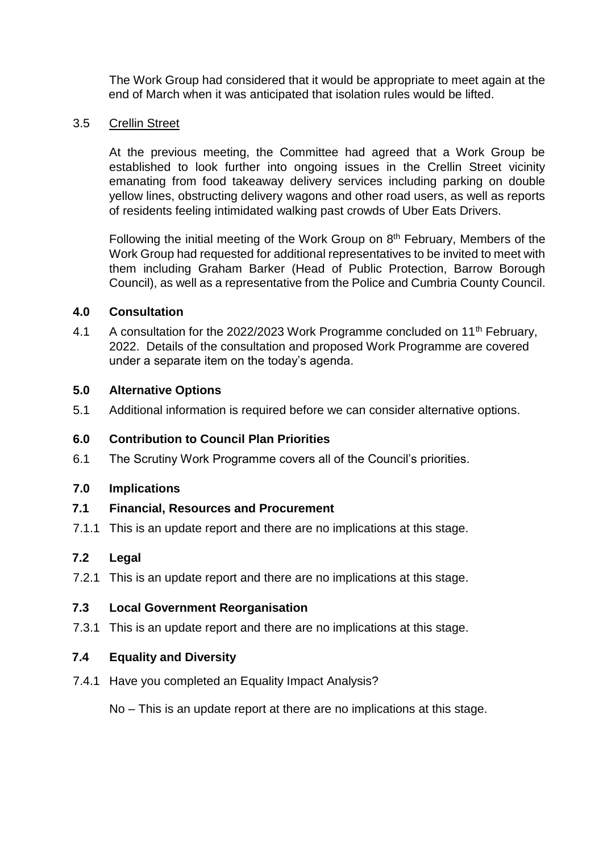The Work Group had considered that it would be appropriate to meet again at the end of March when it was anticipated that isolation rules would be lifted.

## 3.5 Crellin Street

At the previous meeting, the Committee had agreed that a Work Group be established to look further into ongoing issues in the Crellin Street vicinity emanating from food takeaway delivery services including parking on double yellow lines, obstructing delivery wagons and other road users, as well as reports of residents feeling intimidated walking past crowds of Uber Eats Drivers.

Following the initial meeting of the Work Group on 8th February, Members of the Work Group had requested for additional representatives to be invited to meet with them including Graham Barker (Head of Public Protection, Barrow Borough Council), as well as a representative from the Police and Cumbria County Council.

#### **4.0 Consultation**

4.1 A consultation for the 2022/2023 Work Programme concluded on 11<sup>th</sup> February, 2022. Details of the consultation and proposed Work Programme are covered under a separate item on the today's agenda.

#### **5.0 Alternative Options**

5.1 Additional information is required before we can consider alternative options.

#### **6.0 Contribution to Council Plan Priorities**

6.1 The Scrutiny Work Programme covers all of the Council's priorities.

#### **7.0 Implications**

#### **7.1 Financial, Resources and Procurement**

7.1.1 This is an update report and there are no implications at this stage.

#### **7.2 Legal**

7.2.1 This is an update report and there are no implications at this stage.

## **7.3 Local Government Reorganisation**

7.3.1 This is an update report and there are no implications at this stage.

#### **7.4 Equality and Diversity**

7.4.1 Have you completed an Equality Impact Analysis?

No – This is an update report at there are no implications at this stage.